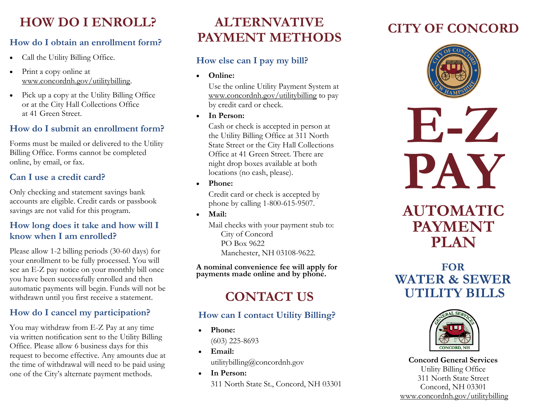## **HOW DO I ENROLL? ALTERNVATIVE**

#### **How do I obtain an enrollment form?**

- Call the Utility Billing Office.
- Print a copy online at www.concordnh.gov/utilitybilling.
- Pick up a copy at the Utility Billing Office or at the City Hall Collections Office at 41 Green Street.

#### **How do I submit an enrollment form?**

Forms must be mailed or delivered to the Utility Billing Office. Forms cannot be completed online, by email, or fax.

#### **Can I use a credit card?**

Only checking and statement savings bank accounts are eligible. Credit cards or passbook savings are not valid for this program.

#### **How long does it take and how will I know when I am enrolled?**

Please allow 1-2 billing periods (30-60 days) for your enrollment to be fully processed. You will see an E-Z pay notice on your monthly bill once you have been successfully enrolled and then automatic payments will begin. Funds will not be withdrawn until you first receive a statement.

### **How do I cancel my participation?**

You may withdraw from E-Z Pay at any time via written notification sent to the Utility Billing Office. Please allow 6 business days for this request to become effective. Any amounts due at the time of withdrawal will need to be paid using one of the City's alternate payment methods.

# **PAYMENT METHODS**

#### **How else can I pay my bill?**

• **Online:**

 Use the online Utility Payment System at www.concordnh.gov/utilitybilling to pay by credit card or check.

• **In Person:**

 Cash or check is accepted in person at the Utility Billing Office at 311 North State Street or the City Hall Collections Office at 41 Green Street. There are night drop boxes available at both locations (no cash, please).

• **Phone:**

 Credit card or check is accepted by phone by calling 1-800-615-9507.

• **Mail:**

 Mail checks with your payment stub to: City of Concord PO Box 9622 Manchester, NH 03108-9622.

**A nominal convenience fee will apply for payments made online and by phone.** 

## **CONTACT US**

#### **How can I contact Utility Billing?**

- **Phone:** (603) 225-8693
- **Email:** utilitybilling@concordnh.gov
- **In Person:** 311 North State St., Concord, NH 03301

## **CITY OF CONCORD**



**E-Z PAY**

## **AUTOMATIC PAYMENT PLAN**

## **FOR WATER & SEWER UTILITY BILLS**



**Concord General Services** Utility Billing Office 311 North State Street Concord, NH 03301 www.concordnh.gov/utilitybilling